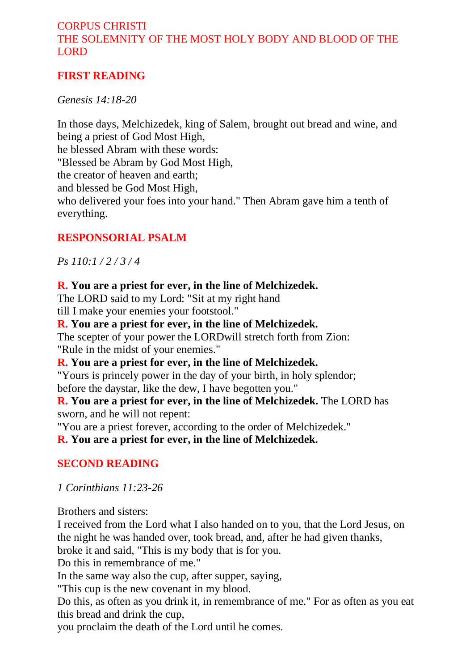## CORPUS CHRISTI THE SOLEMNITY OF THE MOST HOLY BODY AND BLOOD OF THE LORD

## **FIRST READING**

*Genesis 14:18-20* 

In those days, Melchizedek, king of Salem, brought out bread and wine, and being a priest of God Most High, he blessed Abram with these words: "Blessed be Abram by God Most High, the creator of heaven and earth; and blessed be God Most High, who delivered your foes into your hand." Then Abram gave him a tenth of everything.

### **RESPONSORIAL PSALM**

*Ps 110:1 / 2 / 3 / 4* 

#### **R. You are a priest for ever, in the line of Melchizedek.**

The LORD said to my Lord: "Sit at my right hand till I make your enemies your footstool."

**R. You are a priest for ever, in the line of Melchizedek.**  The scepter of your power the LORDwill stretch forth from Zion:

"Rule in the midst of your enemies."

**R. You are a priest for ever, in the line of Melchizedek.**

"Yours is princely power in the day of your birth, in holy splendor; before the daystar, like the dew, I have begotten you."

**R. You are a priest for ever, in the line of Melchizedek.** The LORD has sworn, and he will not repent:

"You are a priest forever, according to the order of Melchizedek."

**R. You are a priest for ever, in the line of Melchizedek.** 

## **SECOND READING**

*1 Corinthians 11:23-26* 

Brothers and sisters:

I received from the Lord what I also handed on to you, that the Lord Jesus, on the night he was handed over, took bread, and, after he had given thanks, broke it and said, "This is my body that is for you.

Do this in remembrance of me."

In the same way also the cup, after supper, saying,

"This cup is the new covenant in my blood.

Do this, as often as you drink it, in remembrance of me." For as often as you eat this bread and drink the cup,

you proclaim the death of the Lord until he comes.